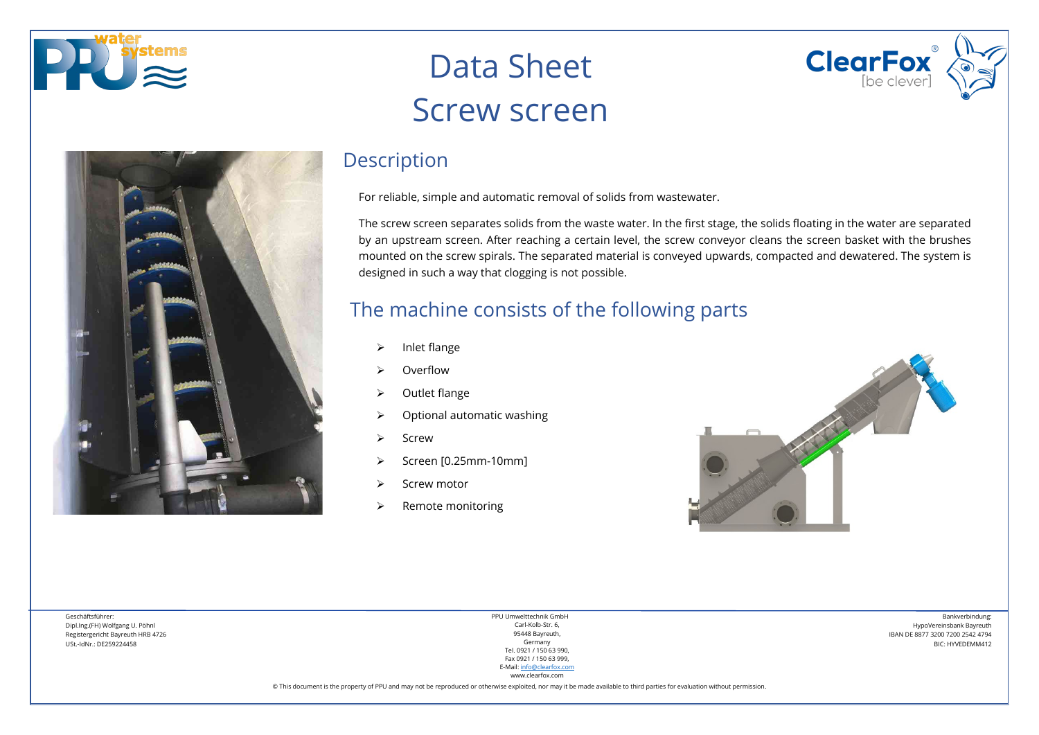



## Data Sheet Screw screen

### **Description**

For reliable, simple and automatic removal of solids from wastewater.

The screw screen separates solids from the waste water. In the first stage, the solids floating in the water are separated by an upstream screen. After reaching a certain level, the screw conveyor cleans the screen basket with the brushes mounted on the screw spirals. The separated material is conveyed upwards, compacted and dewatered. The system is designed in such a way that clogging is not possible.

### The machine consists of the following parts

- $\triangleright$  Inlet flange
- Overflow
- $\triangleright$  Outlet flange
- $\triangleright$  Optional automatic washing
- $\triangleright$  Screw
- Screen [0.25mm-10mm]
- Screw motor
- $\triangleright$  Remote monitoring



**ClearFox** 

Geschäftsführer: Dipl.Ing.(FH) Wolfgang U. Pöhnl Registergericht Bayreuth HRB 4726 USt.-IdNr.: DE259224458

PPU Umwelttechnik GmbH Carl-Kolb-Str. 6, 95448 Bayreuth, Germany Tel. 0921 / 150 63 990, Fax 0921 / 150 63 999, E-Mail[: info@clearfox.com](mailto:info@clearfox.com)

Bankverbindung: HypoVereinsbank Bayreuth IBAN DE 8877 3200 7200 2542 4794 BIC: HYVEDEMM412

www.clearfox.com © This document is the property of PPU and may not be reproduced or otherwise exploited, nor may it be made available to third parties for evaluation without permission.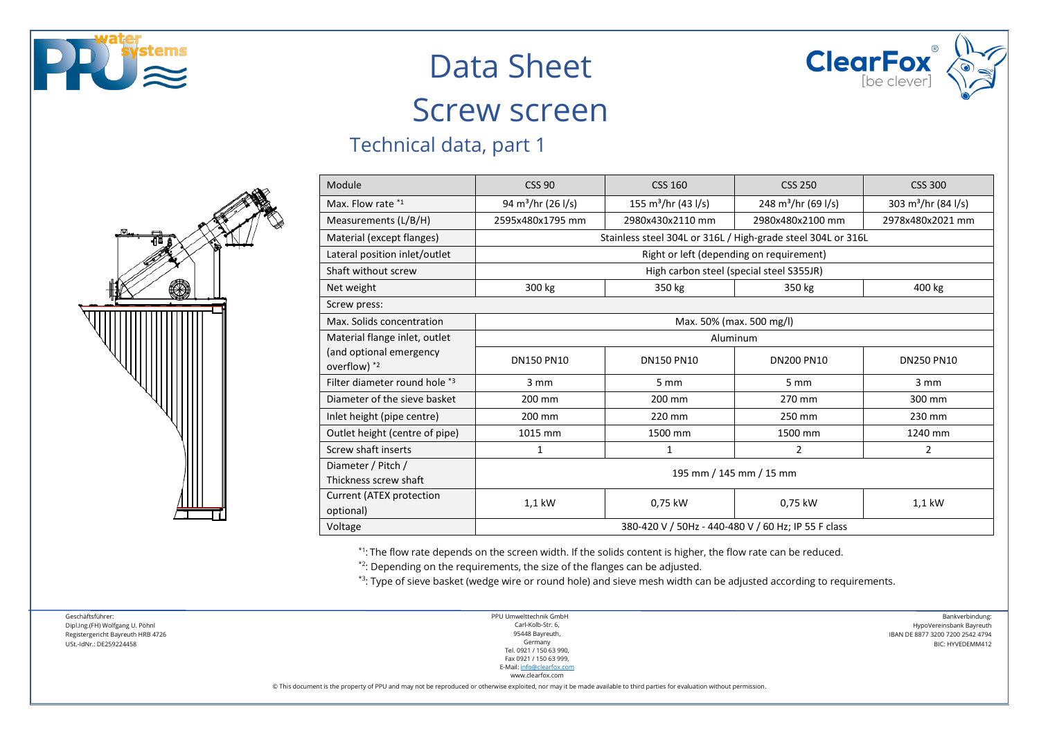



### Screw screen

### Technical data, part 1



| Module                                                                   | <b>CSS 90</b>                                                | <b>CSS 160</b>                     | <b>CSS 250</b>                  | <b>CSS 300</b>                  |  |
|--------------------------------------------------------------------------|--------------------------------------------------------------|------------------------------------|---------------------------------|---------------------------------|--|
| Max. Flow rate *1                                                        | 94 m <sup>3</sup> /hr (26 l/s)                               | 155 m <sup>3</sup> /hr (43 $1/s$ ) | 248 m <sup>3</sup> /hr (69 l/s) | 303 m <sup>3</sup> /hr (84 l/s) |  |
| Measurements (L/B/H)                                                     | 2595x480x1795 mm                                             | 2980x430x2110 mm                   | 2980x480x2100 mm                | 2978x480x2021 mm                |  |
| Material (except flanges)                                                | Stainless steel 304L or 316L / High-grade steel 304L or 316L |                                    |                                 |                                 |  |
| Lateral position inlet/outlet                                            | Right or left (depending on requirement)                     |                                    |                                 |                                 |  |
| Shaft without screw                                                      | High carbon steel (special steel S355JR)                     |                                    |                                 |                                 |  |
| Net weight                                                               | 300 kg                                                       | 350 kg                             | 350 kg                          | 400 kg                          |  |
| Screw press:                                                             |                                                              |                                    |                                 |                                 |  |
| Max. Solids concentration                                                | Max. 50% (max. 500 mg/l)                                     |                                    |                                 |                                 |  |
| Material flange inlet, outlet<br>(and optional emergency<br>overflow) *2 | Aluminum                                                     |                                    |                                 |                                 |  |
|                                                                          | <b>DN150 PN10</b>                                            | <b>DN150 PN10</b>                  | <b>DN200 PN10</b>               | <b>DN250 PN10</b>               |  |
| Filter diameter round hole *3                                            | 3 mm                                                         | 5 mm                               | 5 <sub>mm</sub>                 | 3 mm                            |  |
| Diameter of the sieve basket                                             | 200 mm                                                       | 200 mm                             | 270 mm                          | 300 mm                          |  |
| Inlet height (pipe centre)                                               | 200 mm                                                       | 220 mm                             | 250 mm                          | 230 mm                          |  |
| Outlet height (centre of pipe)                                           | 1015 mm                                                      | 1500 mm                            | 1500 mm                         | 1240 mm                         |  |
| Screw shaft inserts                                                      | 1                                                            | 1                                  | 2                               | 2                               |  |
| Diameter / Pitch /<br>Thickness screw shaft                              | 195 mm / 145 mm / 15 mm                                      |                                    |                                 |                                 |  |
| Current (ATEX protection<br>optional)                                    | 1,1 kW                                                       | 0,75 kW                            | 0,75 kW                         | 1,1 kW                          |  |
| Voltage                                                                  | 380-420 V / 50Hz - 440-480 V / 60 Hz; IP 55 F class          |                                    |                                 |                                 |  |

\*1: The flow rate depends on the screen width. If the solids content is higher, the flow rate can be reduced.

\*2: Depending on the requirements, the size of the flanges can be adjusted.

\*3: Type of sieve basket (wedge wire or round hole) and sieve mesh width can be adjusted according to requirements.

Geschäftsführer: Dipl.Ing.(FH) Wolfgang U. Pöhnl Registergericht Bayreuth HRB 4726 USt.-IdNr.: DE259224458

PPU Umwelttechnik GmbH Carl-Kolb-Str. 6, 95448 Bayreuth, Germany Tel. 0921 / 150 63 990, Fax 0921 / 150 63 999, E-Mail[: info@clearfox.com](mailto:info@clearfox.com)

www.clearfox.com

© This document is the property of PPU and may not be reproduced or otherwise exploited, nor may it be made available to third parties for evaluation without permission.

Bankverbindung: HypoVereinsbank Bayreuth IBAN DE 8877 3200 7200 2542 4794 BIC: HYVEDEMM412

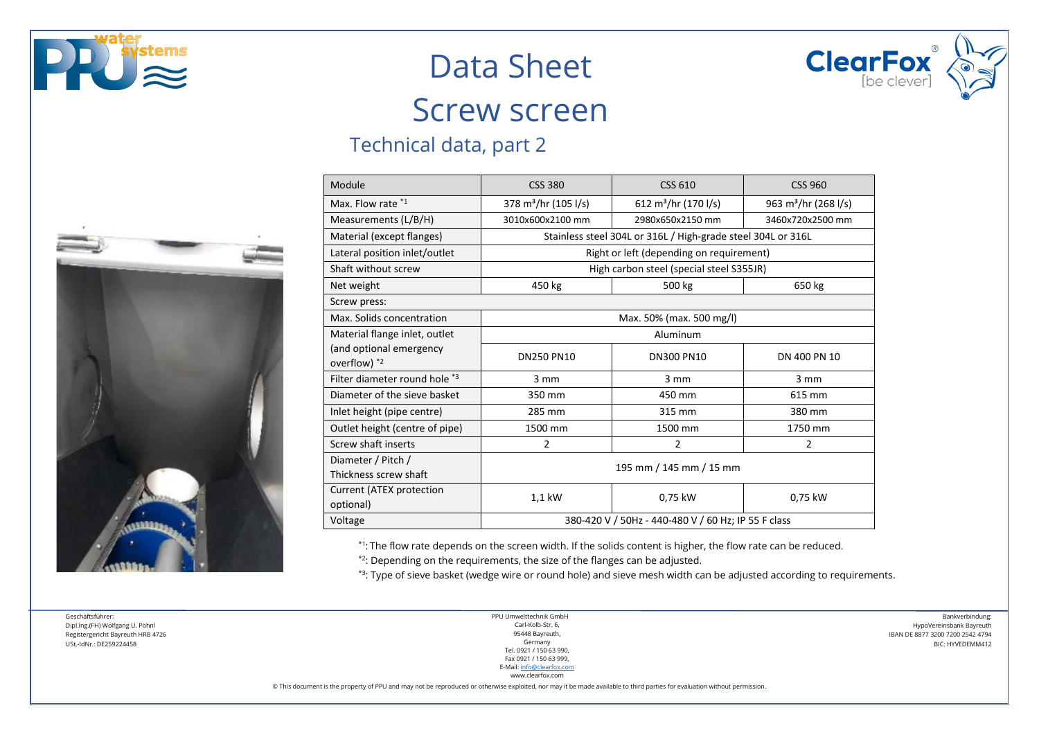





### Screw screen

### Technical data, part 2

| Module                                      | <b>CSS 380</b>                                               | <b>CSS 610</b>                   | CSS 960                          |  |  |
|---------------------------------------------|--------------------------------------------------------------|----------------------------------|----------------------------------|--|--|
| Max. Flow rate *1                           | 378 m <sup>3</sup> /hr (105 l/s)                             | 612 m <sup>3</sup> /hr (170 l/s) | 963 m <sup>3</sup> /hr (268 l/s) |  |  |
| Measurements (L/B/H)                        | 3010x600x2100 mm                                             | 2980x650x2150 mm                 | 3460x720x2500 mm                 |  |  |
| Material (except flanges)                   | Stainless steel 304L or 316L / High-grade steel 304L or 316L |                                  |                                  |  |  |
| Lateral position inlet/outlet               | Right or left (depending on requirement)                     |                                  |                                  |  |  |
| Shaft without screw                         | High carbon steel (special steel S355JR)                     |                                  |                                  |  |  |
| Net weight                                  | 450 kg                                                       | 500 kg                           | 650 kg                           |  |  |
| Screw press:                                |                                                              |                                  |                                  |  |  |
| Max. Solids concentration                   | Max. 50% (max. 500 mg/l)                                     |                                  |                                  |  |  |
| Material flange inlet, outlet               | Aluminum                                                     |                                  |                                  |  |  |
| (and optional emergency<br>overflow) *2     | <b>DN250 PN10</b>                                            | <b>DN300 PN10</b>                | DN 400 PN 10                     |  |  |
| Filter diameter round hole *3               | 3 mm                                                         | $3 \, \text{mm}$                 | $3 \, \text{mm}$                 |  |  |
| Diameter of the sieve basket                | 350 mm                                                       | 450 mm                           | 615 mm                           |  |  |
| Inlet height (pipe centre)                  | 285 mm                                                       | 315 mm                           | 380 mm                           |  |  |
| Outlet height (centre of pipe)              | 1500 mm                                                      | 1500 mm                          | 1750 mm                          |  |  |
| Screw shaft inserts                         | $\overline{2}$                                               | 2                                | 2                                |  |  |
| Diameter / Pitch /<br>Thickness screw shaft | 195 mm / 145 mm / 15 mm                                      |                                  |                                  |  |  |
| Current (ATEX protection<br>optional)       | 1,1 kW                                                       | 0,75 kW                          | 0,75 kW                          |  |  |
| Voltage                                     | 380-420 V / 50Hz - 440-480 V / 60 Hz; IP 55 F class          |                                  |                                  |  |  |

\*1: The flow rate depends on the screen width. If the solids content is higher, the flow rate can be reduced.

 $*$ <sup>2</sup>: Depending on the requirements, the size of the flanges can be adjusted.

\*3: Type of sieve basket (wedge wire or round hole) and sieve mesh width can be adjusted according to requirements.

Geschäftsführer: Dipl.Ing.(FH) Wolfgang U. Pöhnl Registergericht Bayreuth HRB 4726 USt.-IdNr.: DE259224458

PPU Umwelttechnik GmbH Carl-Kolb-Str. 6, 95448 Bayreuth, Germany Tel. 0921 / 150 63 990, Fax 0921 / 150 63 999, E-Mail[: info@clearfox.com](mailto:info@clearfox.com)

Bankverbindung: HypoVereinsbank Bayreuth IBAN DE 8877 3200 7200 2542 4794 BIC: HYVEDEMM412

www.clearfox.com

© This document is the property of PPU and may not be reproduced or otherwise exploited, nor may it be made available to third parties for evaluation without permission.

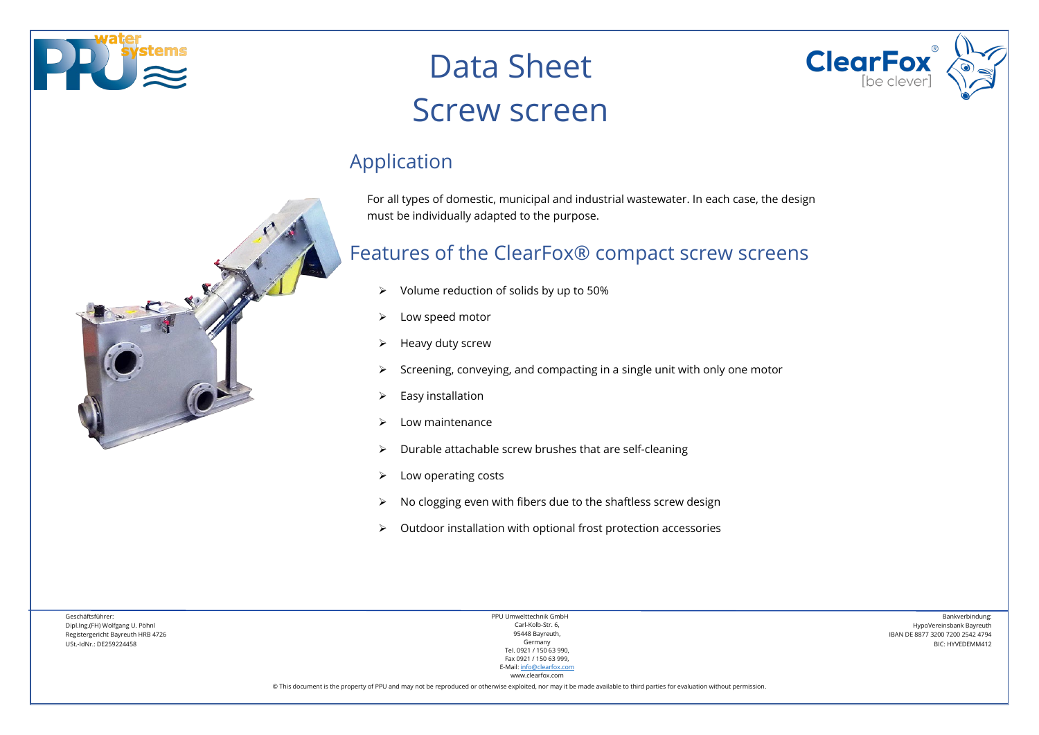



## Data Sheet Screw screen

### Application

For all types of domestic, municipal and industrial wastewater. In each case, the design must be individually adapted to the purpose.

### Features of the ClearFox® compact screw screens

- $\triangleright$  Volume reduction of solids by up to 50%
- $\triangleright$  Low speed motor
- $\triangleright$  Heavy duty screw
- $\triangleright$  Screening, conveying, and compacting in a single unit with only one motor
- $\triangleright$  Easy installation
- $\triangleright$  Low maintenance
- $\triangleright$  Durable attachable screw brushes that are self-cleaning
- $\triangleright$  Low operating costs
- No clogging even with fibers due to the shaftless screw design
- $\triangleright$  Outdoor installation with optional frost protection accessories

Geschäftsführer: Dipl.Ing.(FH) Wolfgang U. Pöhnl Registergericht Bayreuth HRB 4726 USt.-IdNr.: DE259224458

PPU Umwelttechnik GmbH Carl-Kolb-Str. 6, 95448 Bayreuth, Germany Tel. 0921 / 150 63 990, Fax 0921 / 150 63 999, E-Mail[: info@clearfox.com](mailto:info@clearfox.com)

www.clearfox.com

Bankverbindung: HypoVereinsbank Bayreuth IBAN DE 8877 3200 7200 2542 4794 BIC: HYVEDEMM412

© This document is the property of PPU and may not be reproduced or otherwise exploited, nor may it be made available to third parties for evaluation without permission.